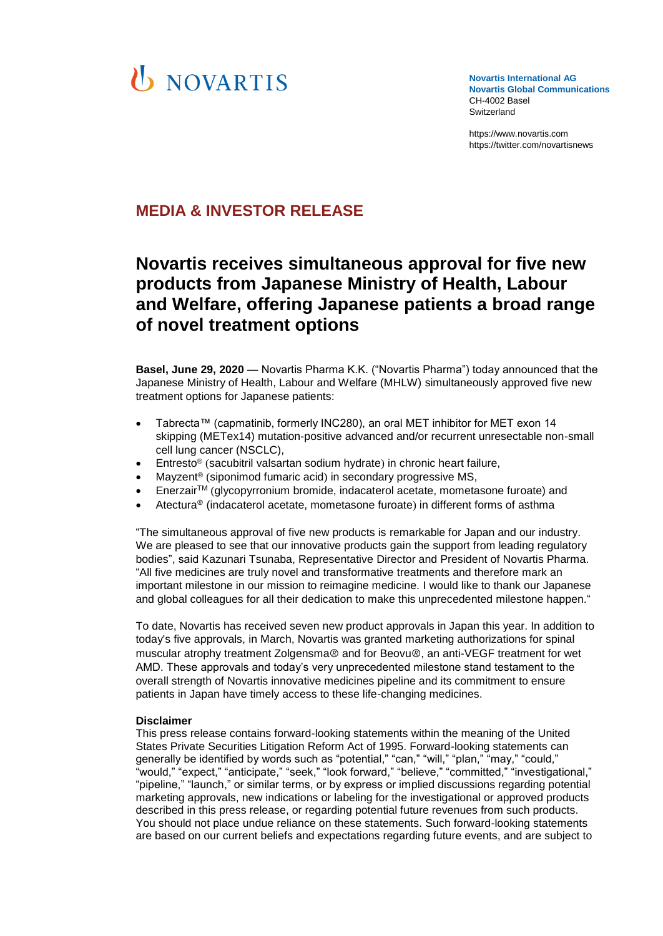# **U** NOVARTIS

**Novartis International AG Novartis Global Communications**  CH-4002 Basel Switzerland

[https://www.novartis.com](https://www.novartis.com/) https://twitter.com/novartisnews

### **MEDIA & INVESTOR RELEASE**

## **Novartis receives simultaneous approval for five new products from Japanese Ministry of Health, Labour and Welfare, offering Japanese patients a broad range of novel treatment options**

**Basel, June 29, 2020** — Novartis Pharma K.K. ("Novartis Pharma") today announced that the Japanese Ministry of Health, Labour and Welfare (MHLW) simultaneously approved five new treatment options for Japanese patients:

- Tabrecta™ (capmatinib, formerly INC280), an oral MET inhibitor for MET exon 14 skipping (METex14) mutation-positive advanced and/or recurrent unresectable non-small cell lung cancer (NSCLC),
- Entresto<sup>®</sup> (sacubitril valsartan sodium hydrate) in chronic heart failure,
- Mayzent® (siponimod fumaric acid) in secondary progressive MS,
- EnerzairTM (glycopyrronium bromide, indacaterol acetate, mometasone furoate) and
- Atectura<sup>®</sup> (indacaterol acetate, mometasone furoate) in different forms of asthma

"The simultaneous approval of five new products is remarkable for Japan and our industry. We are pleased to see that our innovative products gain the support from leading regulatory bodies", said Kazunari Tsunaba, Representative Director and President of Novartis Pharma. "All five medicines are truly novel and transformative treatments and therefore mark an important milestone in our mission to reimagine medicine. I would like to thank our Japanese and global colleagues for all their dedication to make this unprecedented milestone happen."

To date, Novartis has received seven new product approvals in Japan this year. In addition to today's five approvals, in March, Novartis was granted marketing authorizations for spinal muscular atrophy treatment Zolgensma® and for Beovu®, an anti-VEGF treatment for wet AMD. These approvals and today's very unprecedented milestone stand testament to the overall strength of Novartis innovative medicines pipeline and its commitment to ensure patients in Japan have timely access to these life-changing medicines.

#### **Disclaimer**

This press release contains forward-looking statements within the meaning of the United States Private Securities Litigation Reform Act of 1995. Forward-looking statements can generally be identified by words such as "potential," "can," "will," "plan," "may," "could," "would," "expect," "anticipate," "seek," "look forward," "believe," "committed," "investigational," "pipeline," "launch," or similar terms, or by express or implied discussions regarding potential marketing approvals, new indications or labeling for the investigational or approved products described in this press release, or regarding potential future revenues from such products. You should not place undue reliance on these statements. Such forward-looking statements are based on our current beliefs and expectations regarding future events, and are subject to